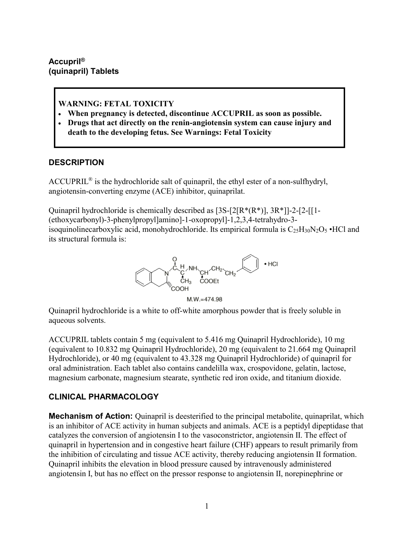**Accupril® (quinapril) Tablets**

### **WARNING: FETAL TOXICITY**

- **When pregnancy is detected, discontinue ACCUPRIL as soon as possible.**
- **Drugs that act directly on the renin-angiotensin system can cause injury and death to the developing fetus. See Warnings: Fetal Toxicity**

### **DESCRIPTION**

 $\text{ACCUPRIL}^{\otimes}$  is the hydrochloride salt of quinapril, the ethyl ester of a non-sulfhydryl, angiotensin-converting enzyme (ACE) inhibitor, quinaprilat.

Quinapril hydrochloride is chemically described as  $[3S-[2]R^*(R^*)]$ ,  $3R^*$ ]]-2- $[2-[1-1]$ (ethoxycarbonyl)-3-phenylpropyl]amino]-1-oxopropyl]-1,2,3,4-tetrahydro-3 isoquinolinecarboxylic acid, monohydrochloride. Its empirical formula is  $C_{25}H_{30}N_2O_5$  •HCl and its structural formula is:

 $\cdot$  HCI COOEt COOH  $M.W. = 474.98$ 

Quinapril hydrochloride is a white to off-white amorphous powder that is freely soluble in aqueous solvents.

ACCUPRIL tablets contain 5 mg (equivalent to 5.416 mg Quinapril Hydrochloride), 10 mg (equivalent to 10.832 mg Quinapril Hydrochloride), 20 mg (equivalent to 21.664 mg Quinapril Hydrochloride), or 40 mg (equivalent to 43.328 mg Quinapril Hydrochloride) of quinapril for oral administration. Each tablet also contains candelilla wax, crospovidone, gelatin, lactose, magnesium carbonate, magnesium stearate, synthetic red iron oxide, and titanium dioxide.

# **CLINICAL PHARMACOLOGY**

**Mechanism of Action:** Quinapril is deesterified to the principal metabolite, quinaprilat, which is an inhibitor of ACE activity in human subjects and animals. ACE is a peptidyl dipeptidase that catalyzes the conversion of angiotensin I to the vasoconstrictor, angiotensin II. The effect of quinapril in hypertension and in congestive heart failure (CHF) appears to result primarily from the inhibition of circulating and tissue ACE activity, thereby reducing angiotensin II formation. Quinapril inhibits the elevation in blood pressure caused by intravenously administered angiotensin I, but has no effect on the pressor response to angiotensin II, norepinephrine or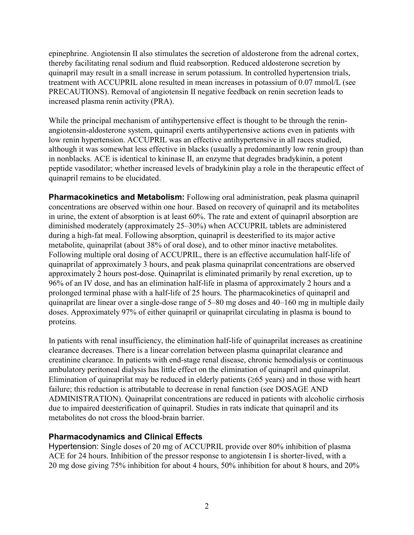epinephrine. Angiotensin II also stimulates the secretion of aldosterone from the adrenal cortex, thereby facilitating renal sodium and fluid reabsorption. Reduced aldosterone secretion by quinapril may result in a small increase in serum potassium. In controlled hypertension trials, treatment with ACCUPRIL alone resulted in mean increases in potassium of 0.07 mmol/L (see PRECAUTIONS). Removal of angiotensin II negative feedback on renin secretion leads to increased plasma renin activity (PRA).

While the principal mechanism of antihypertensive effect is thought to be through the reninangiotensin-aldosterone system, quinapril exerts antihypertensive actions even in patients with low renin hypertension. ACCUPRIL was an effective antihypertensive in all races studied, although it was somewhat less effective in blacks (usually a predominantly low renin group) than in nonblacks. ACE is identical to kininase II, an enzyme that degrades bradykinin, a potent peptide vasodilator; whether increased levels of bradykinin play a role in the therapeutic effect of quinapril remains to be elucidated.

**Pharmacokinetics and Metabolism:** Following oral administration, peak plasma quinapril concentrations are observed within one hour. Based on recovery of quinapril and its metabolites in urine, the extent of absorption is at least 60%. The rate and extent of quinapril absorption are diminished moderately (approximately 25–30%) when ACCUPRIL tablets are administered during a high-fat meal. Following absorption, quinapril is deesterified to its major active metabolite, quinaprilat (about 38% of oral dose), and to other minor inactive metabolites. Following multiple oral dosing of ACCUPRIL, there is an effective accumulation half-life of quinaprilat of approximately 3 hours, and peak plasma quinaprilat concentrations are observed approximately 2 hours post-dose. Quinaprilat is eliminated primarily by renal excretion, up to 96% of an IV dose, and has an elimination half-life in plasma of approximately 2 hours and a prolonged terminal phase with a half-life of 25 hours. The pharmacokinetics of quinapril and quinaprilat are linear over a single-dose range of 5–80 mg doses and 40–160 mg in multiple daily doses. Approximately 97% of either quinapril or quinaprilat circulating in plasma is bound to proteins.

In patients with renal insufficiency, the elimination half-life of quinaprilat increases as creatinine clearance decreases. There is a linear correlation between plasma quinaprilat clearance and creatinine clearance. In patients with end-stage renal disease, chronic hemodialysis or continuous ambulatory peritoneal dialysis has little effect on the elimination of quinapril and quinaprilat. Elimination of quinaprilat may be reduced in elderly patients ( $\geq 65$  years) and in those with heart failure; this reduction is attributable to decrease in renal function (see DOSAGE AND ADMINISTRATION). Quinaprilat concentrations are reduced in patients with alcoholic cirrhosis due to impaired deesterification of quinapril. Studies in rats indicate that quinapril and its metabolites do not cross the blood-brain barrier.

### **Pharmacodynamics and Clinical Effects**

Hypertension: Single doses of 20 mg of ACCUPRIL provide over 80% inhibition of plasma ACE for 24 hours. Inhibition of the pressor response to angiotensin I is shorter-lived, with a 20 mg dose giving 75% inhibition for about 4 hours, 50% inhibition for about 8 hours, and 20%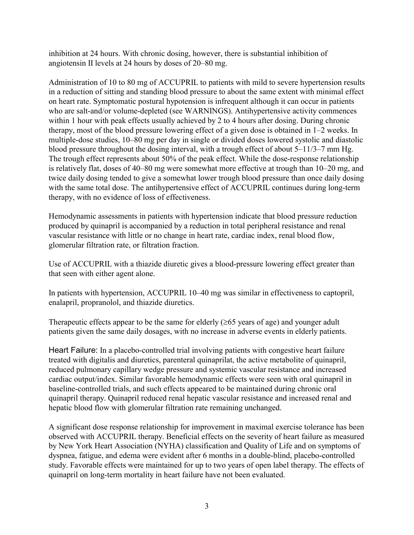inhibition at 24 hours. With chronic dosing, however, there is substantial inhibition of angiotensin II levels at 24 hours by doses of 20–80 mg.

Administration of 10 to 80 mg of ACCUPRIL to patients with mild to severe hypertension results in a reduction of sitting and standing blood pressure to about the same extent with minimal effect on heart rate. Symptomatic postural hypotension is infrequent although it can occur in patients who are salt-and/or volume-depleted (see WARNINGS). Antihypertensive activity commences within 1 hour with peak effects usually achieved by 2 to 4 hours after dosing. During chronic therapy, most of the blood pressure lowering effect of a given dose is obtained in 1–2 weeks. In multiple-dose studies, 10–80 mg per day in single or divided doses lowered systolic and diastolic blood pressure throughout the dosing interval, with a trough effect of about 5–11/3–7 mm Hg. The trough effect represents about 50% of the peak effect. While the dose-response relationship is relatively flat, doses of 40–80 mg were somewhat more effective at trough than 10–20 mg, and twice daily dosing tended to give a somewhat lower trough blood pressure than once daily dosing with the same total dose. The antihypertensive effect of ACCUPRIL continues during long-term therapy, with no evidence of loss of effectiveness.

Hemodynamic assessments in patients with hypertension indicate that blood pressure reduction produced by quinapril is accompanied by a reduction in total peripheral resistance and renal vascular resistance with little or no change in heart rate, cardiac index, renal blood flow, glomerular filtration rate, or filtration fraction.

Use of ACCUPRIL with a thiazide diuretic gives a blood-pressure lowering effect greater than that seen with either agent alone.

In patients with hypertension, ACCUPRIL 10–40 mg was similar in effectiveness to captopril, enalapril, propranolol, and thiazide diuretics.

Therapeutic effects appear to be the same for elderly  $(\geq 65$  years of age) and younger adult patients given the same daily dosages, with no increase in adverse events in elderly patients.

Heart Failure: In a placebo-controlled trial involving patients with congestive heart failure treated with digitalis and diuretics, parenteral quinaprilat, the active metabolite of quinapril, reduced pulmonary capillary wedge pressure and systemic vascular resistance and increased cardiac output/index. Similar favorable hemodynamic effects were seen with oral quinapril in baseline-controlled trials, and such effects appeared to be maintained during chronic oral quinapril therapy. Quinapril reduced renal hepatic vascular resistance and increased renal and hepatic blood flow with glomerular filtration rate remaining unchanged.

A significant dose response relationship for improvement in maximal exercise tolerance has been observed with ACCUPRIL therapy. Beneficial effects on the severity of heart failure as measured by New York Heart Association (NYHA) classification and Quality of Life and on symptoms of dyspnea, fatigue, and edema were evident after 6 months in a double-blind, placebo-controlled study. Favorable effects were maintained for up to two years of open label therapy. The effects of quinapril on long-term mortality in heart failure have not been evaluated.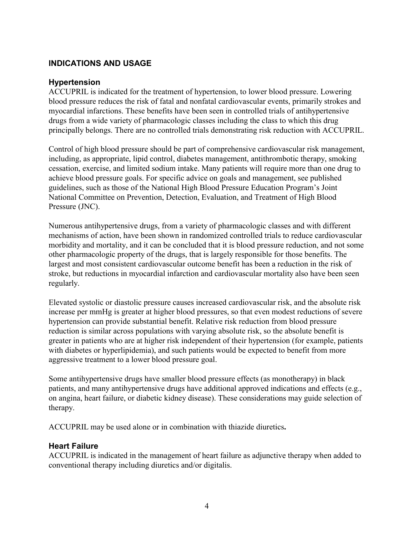### **INDICATIONS AND USAGE**

#### **Hypertension**

ACCUPRIL is indicated for the treatment of hypertension, to lower blood pressure. Lowering blood pressure reduces the risk of fatal and nonfatal cardiovascular events, primarily strokes and myocardial infarctions. These benefits have been seen in controlled trials of antihypertensive drugs from a wide variety of pharmacologic classes including the class to which this drug principally belongs. There are no controlled trials demonstrating risk reduction with ACCUPRIL.

Control of high blood pressure should be part of comprehensive cardiovascular risk management, including, as appropriate, lipid control, diabetes management, antithrombotic therapy, smoking cessation, exercise, and limited sodium intake. Many patients will require more than one drug to achieve blood pressure goals. For specific advice on goals and management, see published guidelines, such as those of the National High Blood Pressure Education Program's Joint National Committee on Prevention, Detection, Evaluation, and Treatment of High Blood Pressure (JNC).

Numerous antihypertensive drugs, from a variety of pharmacologic classes and with different mechanisms of action, have been shown in randomized controlled trials to reduce cardiovascular morbidity and mortality, and it can be concluded that it is blood pressure reduction, and not some other pharmacologic property of the drugs, that is largely responsible for those benefits. The largest and most consistent cardiovascular outcome benefit has been a reduction in the risk of stroke, but reductions in myocardial infarction and cardiovascular mortality also have been seen regularly.

Elevated systolic or diastolic pressure causes increased cardiovascular risk, and the absolute risk increase per mmHg is greater at higher blood pressures, so that even modest reductions of severe hypertension can provide substantial benefit. Relative risk reduction from blood pressure reduction is similar across populations with varying absolute risk, so the absolute benefit is greater in patients who are at higher risk independent of their hypertension (for example, patients with diabetes or hyperlipidemia), and such patients would be expected to benefit from more aggressive treatment to a lower blood pressure goal.

Some antihypertensive drugs have smaller blood pressure effects (as monotherapy) in black patients, and many antihypertensive drugs have additional approved indications and effects (e.g., on angina, heart failure, or diabetic kidney disease). These considerations may guide selection of therapy.

ACCUPRIL may be used alone or in combination with thiazide diuretics**.**

#### **Heart Failure**

ACCUPRIL is indicated in the management of heart failure as adjunctive therapy when added to conventional therapy including diuretics and/or digitalis.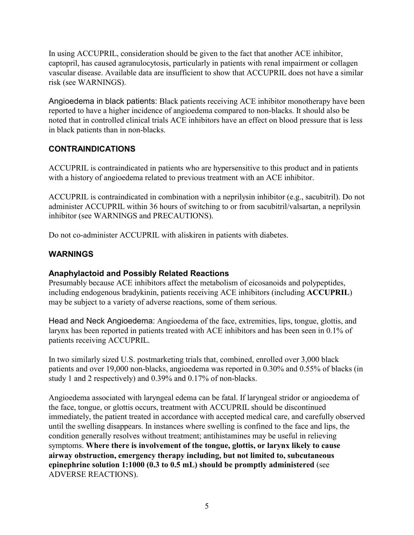In using ACCUPRIL, consideration should be given to the fact that another ACE inhibitor, captopril, has caused agranulocytosis, particularly in patients with renal impairment or collagen vascular disease. Available data are insufficient to show that ACCUPRIL does not have a similar risk (see WARNINGS).

Angioedema in black patients: Black patients receiving ACE inhibitor monotherapy have been reported to have a higher incidence of angioedema compared to non-blacks. It should also be noted that in controlled clinical trials ACE inhibitors have an effect on blood pressure that is less in black patients than in non-blacks.

## **CONTRAINDICATIONS**

ACCUPRIL is contraindicated in patients who are hypersensitive to this product and in patients with a history of angioedema related to previous treatment with an ACE inhibitor.

ACCUPRIL is contraindicated in combination with a neprilysin inhibitor (e.g., sacubitril). Do not administer ACCUPRIL within 36 hours of switching to or from sacubitril/valsartan, a neprilysin inhibitor (see WARNINGS and PRECAUTIONS).

Do not co-administer ACCUPRIL with aliskiren in patients with diabetes.

### **WARNINGS**

### **Anaphylactoid and Possibly Related Reactions**

Presumably because ACE inhibitors affect the metabolism of eicosanoids and polypeptides, including endogenous bradykinin, patients receiving ACE inhibitors (including **ACCUPRIL**) may be subject to a variety of adverse reactions, some of them serious.

Head and Neck Angioedema: Angioedema of the face, extremities, lips, tongue, glottis, and larynx has been reported in patients treated with ACE inhibitors and has been seen in 0.1% of patients receiving ACCUPRIL.

In two similarly sized U.S. postmarketing trials that, combined, enrolled over 3,000 black patients and over 19,000 non-blacks, angioedema was reported in 0.30% and 0.55% of blacks (in study 1 and 2 respectively) and 0.39% and 0.17% of non-blacks.

Angioedema associated with laryngeal edema can be fatal. If laryngeal stridor or angioedema of the face, tongue, or glottis occurs, treatment with ACCUPRIL should be discontinued immediately, the patient treated in accordance with accepted medical care, and carefully observed until the swelling disappears. In instances where swelling is confined to the face and lips, the condition generally resolves without treatment; antihistamines may be useful in relieving symptoms. **Where there is involvement of the tongue, glottis, or larynx likely to cause airway obstruction, emergency therapy including, but not limited to, subcutaneous epinephrine solution 1:1000 (0.3 to 0.5 mL) should be promptly administered** (see ADVERSE REACTIONS).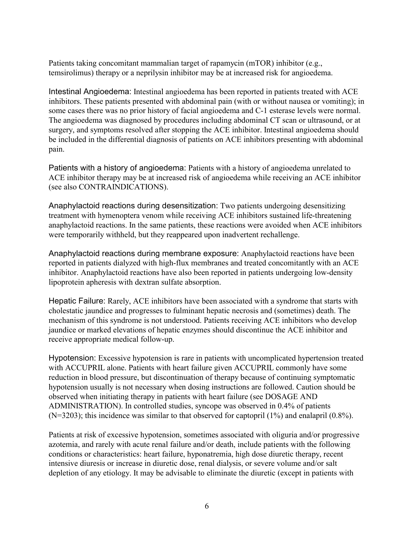Patients taking concomitant mammalian target of rapamycin (mTOR) inhibitor (e.g., temsirolimus) therapy or a neprilysin inhibitor may be at increased risk for angioedema.

Intestinal Angioedema: Intestinal angioedema has been reported in patients treated with ACE inhibitors. These patients presented with abdominal pain (with or without nausea or vomiting); in some cases there was no prior history of facial angioedema and C-1 esterase levels were normal. The angioedema was diagnosed by procedures including abdominal CT scan or ultrasound, or at surgery, and symptoms resolved after stopping the ACE inhibitor. Intestinal angioedema should be included in the differential diagnosis of patients on ACE inhibitors presenting with abdominal pain.

Patients with a history of angioedema: Patients with a history of angioedema unrelated to ACE inhibitor therapy may be at increased risk of angioedema while receiving an ACE inhibitor (see also CONTRAINDICATIONS).

Anaphylactoid reactions during desensitization: Two patients undergoing desensitizing treatment with hymenoptera venom while receiving ACE inhibitors sustained life-threatening anaphylactoid reactions. In the same patients, these reactions were avoided when ACE inhibitors were temporarily withheld, but they reappeared upon inadvertent rechallenge.

Anaphylactoid reactions during membrane exposure: Anaphylactoid reactions have been reported in patients dialyzed with high-flux membranes and treated concomitantly with an ACE inhibitor. Anaphylactoid reactions have also been reported in patients undergoing low-density lipoprotein apheresis with dextran sulfate absorption.

Hepatic Failure: Rarely, ACE inhibitors have been associated with a syndrome that starts with cholestatic jaundice and progresses to fulminant hepatic necrosis and (sometimes) death. The mechanism of this syndrome is not understood. Patients receiving ACE inhibitors who develop jaundice or marked elevations of hepatic enzymes should discontinue the ACE inhibitor and receive appropriate medical follow-up.

Hypotension: Excessive hypotension is rare in patients with uncomplicated hypertension treated with ACCUPRIL alone. Patients with heart failure given ACCUPRIL commonly have some reduction in blood pressure, but discontinuation of therapy because of continuing symptomatic hypotension usually is not necessary when dosing instructions are followed. Caution should be observed when initiating therapy in patients with heart failure (see DOSAGE AND ADMINISTRATION). In controlled studies, syncope was observed in 0.4% of patients (N=3203); this incidence was similar to that observed for captopril (1%) and enalapril (0.8%).

Patients at risk of excessive hypotension, sometimes associated with oliguria and/or progressive azotemia, and rarely with acute renal failure and/or death, include patients with the following conditions or characteristics: heart failure, hyponatremia, high dose diuretic therapy, recent intensive diuresis or increase in diuretic dose, renal dialysis, or severe volume and/or salt depletion of any etiology. It may be advisable to eliminate the diuretic (except in patients with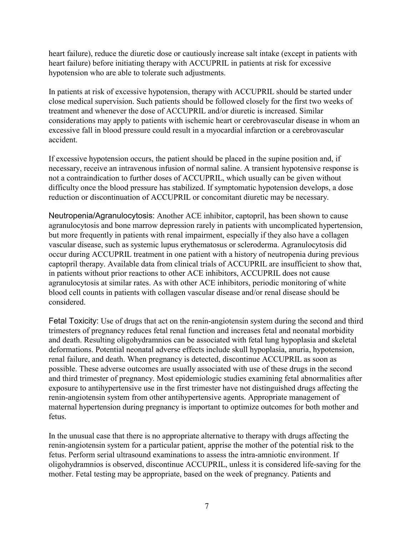heart failure), reduce the diuretic dose or cautiously increase salt intake (except in patients with heart failure) before initiating therapy with ACCUPRIL in patients at risk for excessive hypotension who are able to tolerate such adjustments.

In patients at risk of excessive hypotension, therapy with ACCUPRIL should be started under close medical supervision. Such patients should be followed closely for the first two weeks of treatment and whenever the dose of ACCUPRIL and/or diuretic is increased. Similar considerations may apply to patients with ischemic heart or cerebrovascular disease in whom an excessive fall in blood pressure could result in a myocardial infarction or a cerebrovascular accident.

If excessive hypotension occurs, the patient should be placed in the supine position and, if necessary, receive an intravenous infusion of normal saline. A transient hypotensive response is not a contraindication to further doses of ACCUPRIL, which usually can be given without difficulty once the blood pressure has stabilized. If symptomatic hypotension develops, a dose reduction or discontinuation of ACCUPRIL or concomitant diuretic may be necessary.

Neutropenia/Agranulocytosis: Another ACE inhibitor, captopril, has been shown to cause agranulocytosis and bone marrow depression rarely in patients with uncomplicated hypertension, but more frequently in patients with renal impairment, especially if they also have a collagen vascular disease, such as systemic lupus erythematosus or scleroderma. Agranulocytosis did occur during ACCUPRIL treatment in one patient with a history of neutropenia during previous captopril therapy. Available data from clinical trials of ACCUPRIL are insufficient to show that, in patients without prior reactions to other ACE inhibitors, ACCUPRIL does not cause agranulocytosis at similar rates. As with other ACE inhibitors, periodic monitoring of white blood cell counts in patients with collagen vascular disease and/or renal disease should be considered.

Fetal Toxicity: Use of drugs that act on the renin-angiotensin system during the second and third trimesters of pregnancy reduces fetal renal function and increases fetal and neonatal morbidity and death. Resulting oligohydramnios can be associated with fetal lung hypoplasia and skeletal deformations. Potential neonatal adverse effects include skull hypoplasia, anuria, hypotension, renal failure, and death. When pregnancy is detected, discontinue ACCUPRIL as soon as possible. These adverse outcomes are usually associated with use of these drugs in the second and third trimester of pregnancy. Most epidemiologic studies examining fetal abnormalities after exposure to antihypertensive use in the first trimester have not distinguished drugs affecting the renin-angiotensin system from other antihypertensive agents. Appropriate management of maternal hypertension during pregnancy is important to optimize outcomes for both mother and fetus.

In the unusual case that there is no appropriate alternative to therapy with drugs affecting the renin-angiotensin system for a particular patient, apprise the mother of the potential risk to the fetus. Perform serial ultrasound examinations to assess the intra-amniotic environment. If oligohydramnios is observed, discontinue ACCUPRIL, unless it is considered life-saving for the mother. Fetal testing may be appropriate, based on the week of pregnancy. Patients and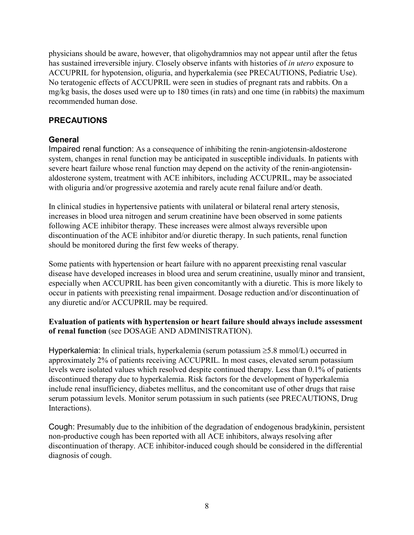physicians should be aware, however, that oligohydramnios may not appear until after the fetus has sustained irreversible injury. Closely observe infants with histories of *in utero* exposure to ACCUPRIL for hypotension, oliguria, and hyperkalemia (see PRECAUTIONS, Pediatric Use). No teratogenic effects of ACCUPRIL were seen in studies of pregnant rats and rabbits. On a mg/kg basis, the doses used were up to 180 times (in rats) and one time (in rabbits) the maximum recommended human dose.

### **PRECAUTIONS**

## **General**

Impaired renal function: As a consequence of inhibiting the renin-angiotensin-aldosterone system, changes in renal function may be anticipated in susceptible individuals. In patients with severe heart failure whose renal function may depend on the activity of the renin-angiotensinaldosterone system, treatment with ACE inhibitors, including ACCUPRIL, may be associated with oliguria and/or progressive azotemia and rarely acute renal failure and/or death.

In clinical studies in hypertensive patients with unilateral or bilateral renal artery stenosis, increases in blood urea nitrogen and serum creatinine have been observed in some patients following ACE inhibitor therapy. These increases were almost always reversible upon discontinuation of the ACE inhibitor and/or diuretic therapy. In such patients, renal function should be monitored during the first few weeks of therapy.

Some patients with hypertension or heart failure with no apparent preexisting renal vascular disease have developed increases in blood urea and serum creatinine, usually minor and transient, especially when ACCUPRIL has been given concomitantly with a diuretic. This is more likely to occur in patients with preexisting renal impairment. Dosage reduction and/or discontinuation of any diuretic and/or ACCUPRIL may be required.

#### **Evaluation of patients with hypertension or heart failure should always include assessment of renal function** (see DOSAGE AND ADMINISTRATION).

Hyperkalemia: In clinical trials, hyperkalemia (serum potassium  $\geq$ 5.8 mmol/L) occurred in approximately 2% of patients receiving ACCUPRIL. In most cases, elevated serum potassium levels were isolated values which resolved despite continued therapy. Less than 0.1% of patients discontinued therapy due to hyperkalemia. Risk factors for the development of hyperkalemia include renal insufficiency, diabetes mellitus, and the concomitant use of other drugs that raise serum potassium levels. Monitor serum potassium in such patients (see PRECAUTIONS, Drug Interactions).

Cough: Presumably due to the inhibition of the degradation of endogenous bradykinin, persistent non-productive cough has been reported with all ACE inhibitors, always resolving after discontinuation of therapy. ACE inhibitor-induced cough should be considered in the differential diagnosis of cough.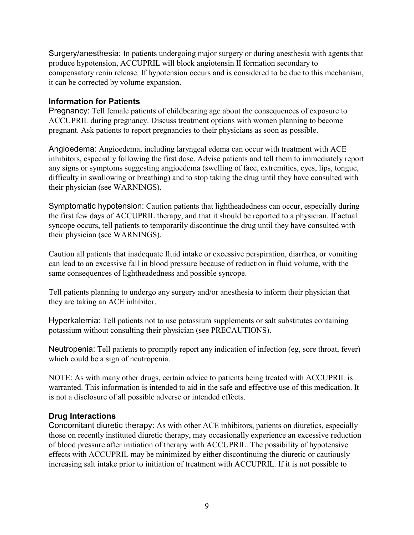Surgery/anesthesia: In patients undergoing major surgery or during anesthesia with agents that produce hypotension, ACCUPRIL will block angiotensin II formation secondary to compensatory renin release. If hypotension occurs and is considered to be due to this mechanism, it can be corrected by volume expansion.

### **Information for Patients**

Pregnancy: Tell female patients of childbearing age about the consequences of exposure to ACCUPRIL during pregnancy. Discuss treatment options with women planning to become pregnant. Ask patients to report pregnancies to their physicians as soon as possible.

Angioedema: Angioedema, including laryngeal edema can occur with treatment with ACE inhibitors, especially following the first dose. Advise patients and tell them to immediately report any signs or symptoms suggesting angioedema (swelling of face, extremities, eyes, lips, tongue, difficulty in swallowing or breathing) and to stop taking the drug until they have consulted with their physician (see WARNINGS).

Symptomatic hypotension: Caution patients that lightheadedness can occur, especially during the first few days of ACCUPRIL therapy, and that it should be reported to a physician. If actual syncope occurs, tell patients to temporarily discontinue the drug until they have consulted with their physician (see WARNINGS).

Caution all patients that inadequate fluid intake or excessive perspiration, diarrhea, or vomiting can lead to an excessive fall in blood pressure because of reduction in fluid volume, with the same consequences of lightheadedness and possible syncope.

Tell patients planning to undergo any surgery and/or anesthesia to inform their physician that they are taking an ACE inhibitor.

Hyperkalemia: Tell patients not to use potassium supplements or salt substitutes containing potassium without consulting their physician (see PRECAUTIONS).

Neutropenia: Tell patients to promptly report any indication of infection (eg, sore throat, fever) which could be a sign of neutropenia.

NOTE: As with many other drugs, certain advice to patients being treated with ACCUPRIL is warranted. This information is intended to aid in the safe and effective use of this medication. It is not a disclosure of all possible adverse or intended effects.

## **Drug Interactions**

Concomitant diuretic therapy: As with other ACE inhibitors, patients on diuretics, especially those on recently instituted diuretic therapy, may occasionally experience an excessive reduction of blood pressure after initiation of therapy with ACCUPRIL. The possibility of hypotensive effects with ACCUPRIL may be minimized by either discontinuing the diuretic or cautiously increasing salt intake prior to initiation of treatment with ACCUPRIL. If it is not possible to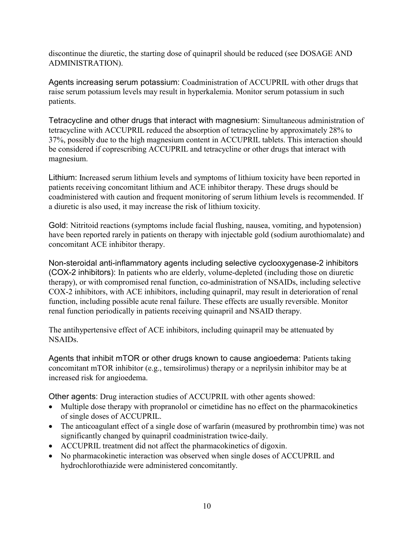discontinue the diuretic, the starting dose of quinapril should be reduced (see DOSAGE AND ADMINISTRATION).

Agents increasing serum potassium: Coadministration of ACCUPRIL with other drugs that raise serum potassium levels may result in hyperkalemia. Monitor serum potassium in such patients.

Tetracycline and other drugs that interact with magnesium: Simultaneous administration of tetracycline with ACCUPRIL reduced the absorption of tetracycline by approximately 28% to 37%, possibly due to the high magnesium content in ACCUPRIL tablets. This interaction should be considered if coprescribing ACCUPRIL and tetracycline or other drugs that interact with magnesium.

Lithium: Increased serum lithium levels and symptoms of lithium toxicity have been reported in patients receiving concomitant lithium and ACE inhibitor therapy. These drugs should be coadministered with caution and frequent monitoring of serum lithium levels is recommended. If a diuretic is also used, it may increase the risk of lithium toxicity.

Gold: Nitritoid reactions (symptoms include facial flushing, nausea, vomiting, and hypotension) have been reported rarely in patients on therapy with injectable gold (sodium aurothiomalate) and concomitant ACE inhibitor therapy.

Non-steroidal anti-inflammatory agents including selective cyclooxygenase-2 inhibitors (COX-2 inhibitors): In patients who are elderly, volume-depleted (including those on diuretic therapy), or with compromised renal function, co-administration of NSAIDs, including selective COX-2 inhibitors, with ACE inhibitors, including quinapril, may result in deterioration of renal function, including possible acute renal failure. These effects are usually reversible. Monitor renal function periodically in patients receiving quinapril and NSAID therapy.

The antihypertensive effect of ACE inhibitors, including quinapril may be attenuated by NSAIDs.

Agents that inhibit mTOR or other drugs known to cause angioedema: Patients taking concomitant mTOR inhibitor (e.g., temsirolimus) therapy or a neprilysin inhibitor may be at increased risk for angioedema.

Other agents: Drug interaction studies of ACCUPRIL with other agents showed:

- Multiple dose therapy with propranolol or cimetidine has no effect on the pharmacokinetics of single doses of ACCUPRIL.
- The anticoagulant effect of a single dose of warfarin (measured by prothrombin time) was not significantly changed by quinapril coadministration twice-daily.
- ACCUPRIL treatment did not affect the pharmacokinetics of digoxin.
- No pharmacokinetic interaction was observed when single doses of ACCUPRIL and hydrochlorothiazide were administered concomitantly.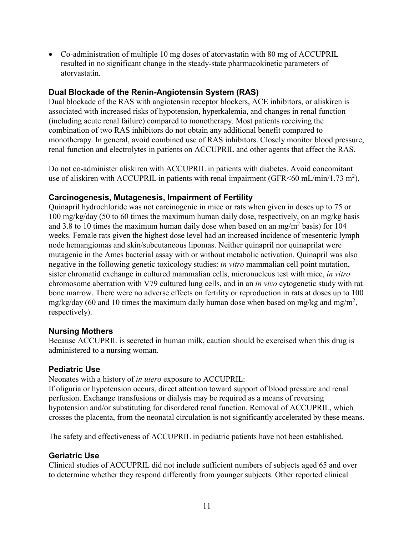Co-administration of multiple 10 mg doses of atorvastatin with 80 mg of ACCUPRIL resulted in no significant change in the steady-state pharmacokinetic parameters of atorvastatin.

## **Dual Blockade of the Renin-Angiotensin System (RAS)**

Dual blockade of the RAS with angiotensin receptor blockers, ACE inhibitors, or aliskiren is associated with increased risks of hypotension, hyperkalemia, and changes in renal function (including acute renal failure) compared to monotherapy. Most patients receiving the combination of two RAS inhibitors do not obtain any additional benefit compared to monotherapy. In general, avoid combined use of RAS inhibitors. Closely monitor blood pressure, renal function and electrolytes in patients on ACCUPRIL and other agents that affect the RAS.

Do not co-administer aliskiren with ACCUPRIL in patients with diabetes. Avoid concomitant use of aliskiren with ACCUPRIL in patients with renal impairment (GFR<60 mL/min/1.73 m<sup>2</sup>).

### **Carcinogenesis, Mutagenesis, Impairment of Fertility**

Quinapril hydrochloride was not carcinogenic in mice or rats when given in doses up to 75 or 100 mg/kg/day (50 to 60 times the maximum human daily dose, respectively, on an mg/kg basis and 3.8 to 10 times the maximum human daily dose when based on an mg/m<sup>2</sup> basis) for 104 weeks. Female rats given the highest dose level had an increased incidence of mesenteric lymph node hemangiomas and skin/subcutaneous lipomas. Neither quinapril nor quinaprilat were mutagenic in the Ames bacterial assay with or without metabolic activation. Quinapril was also negative in the following genetic toxicology studies: *in vitro* mammalian cell point mutation, sister chromatid exchange in cultured mammalian cells, micronucleus test with mice, *in vitro* chromosome aberration with V79 cultured lung cells, and in an *in vivo* cytogenetic study with rat bone marrow. There were no adverse effects on fertility or reproduction in rats at doses up to 100 mg/kg/day (60 and 10 times the maximum daily human dose when based on mg/kg and mg/m<sup>2</sup>, respectively).

### **Nursing Mothers**

Because ACCUPRIL is secreted in human milk, caution should be exercised when this drug is administered to a nursing woman.

### **Pediatric Use**

Neonates with a history of *in utero* exposure to ACCUPRIL:

If oliguria or hypotension occurs, direct attention toward support of blood pressure and renal perfusion. Exchange transfusions or dialysis may be required as a means of reversing hypotension and/or substituting for disordered renal function. Removal of ACCUPRIL, which crosses the placenta, from the neonatal circulation is not significantly accelerated by these means.

The safety and effectiveness of ACCUPRIL in pediatric patients have not been established.

## **Geriatric Use**

Clinical studies of ACCUPRIL did not include sufficient numbers of subjects aged 65 and over to determine whether they respond differently from younger subjects. Other reported clinical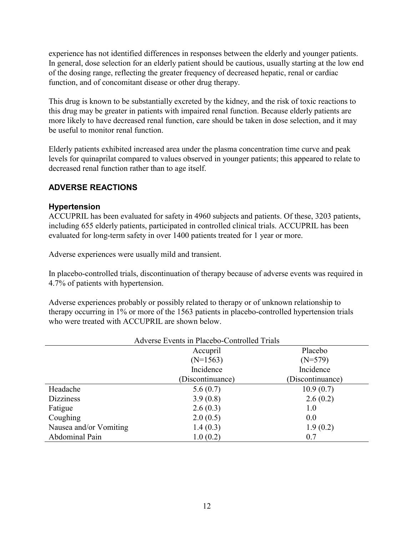experience has not identified differences in responses between the elderly and younger patients. In general, dose selection for an elderly patient should be cautious, usually starting at the low end of the dosing range, reflecting the greater frequency of decreased hepatic, renal or cardiac function, and of concomitant disease or other drug therapy.

This drug is known to be substantially excreted by the kidney, and the risk of toxic reactions to this drug may be greater in patients with impaired renal function. Because elderly patients are more likely to have decreased renal function, care should be taken in dose selection, and it may be useful to monitor renal function.

Elderly patients exhibited increased area under the plasma concentration time curve and peak levels for quinaprilat compared to values observed in younger patients; this appeared to relate to decreased renal function rather than to age itself.

# **ADVERSE REACTIONS**

### **Hypertension**

ACCUPRIL has been evaluated for safety in 4960 subjects and patients. Of these, 3203 patients, including 655 elderly patients, participated in controlled clinical trials. ACCUPRIL has been evaluated for long-term safety in over 1400 patients treated for 1 year or more.

Adverse experiences were usually mild and transient.

In placebo-controlled trials, discontinuation of therapy because of adverse events was required in 4.7% of patients with hypertension.

Adverse experiences probably or possibly related to therapy or of unknown relationship to therapy occurring in 1% or more of the 1563 patients in placebo-controlled hypertension trials who were treated with ACCUPRIL are shown below.

| Adverse Events in Placebo-Controlled Trials |                  |                  |
|---------------------------------------------|------------------|------------------|
|                                             | Accupril         | Placebo          |
|                                             | $(N=1563)$       | $(N=579)$        |
|                                             | Incidence        | Incidence        |
|                                             | (Discontinuance) | (Discontinuance) |
| Headache                                    | 5.6(0.7)         | 10.9(0.7)        |
| <b>Dizziness</b>                            | 3.9(0.8)         | 2.6(0.2)         |
| Fatigue                                     | 2.6(0.3)         | 1.0              |
| Coughing                                    | 2.0(0.5)         | 0.0              |
| Nausea and/or Vomiting                      | 1.4(0.3)         | 1.9(0.2)         |
| Abdominal Pain                              | 1.0(0.2)         | 0.7              |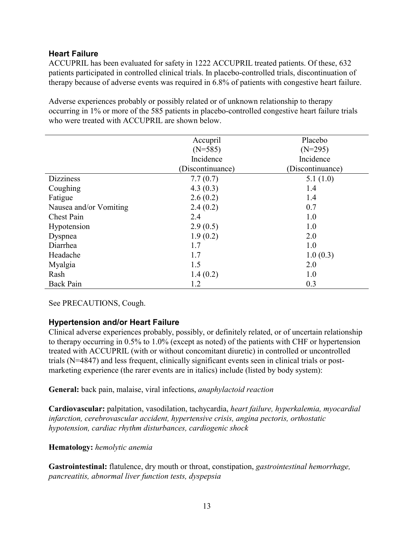## **Heart Failure**

ACCUPRIL has been evaluated for safety in 1222 ACCUPRIL treated patients. Of these, 632 patients participated in controlled clinical trials. In placebo-controlled trials, discontinuation of therapy because of adverse events was required in 6.8% of patients with congestive heart failure.

Adverse experiences probably or possibly related or of unknown relationship to therapy occurring in 1% or more of the 585 patients in placebo-controlled congestive heart failure trials who were treated with ACCUPRIL are shown below.

|                        | Accupril         | Placebo          |
|------------------------|------------------|------------------|
|                        | $(N=585)$        | $(N=295)$        |
|                        | Incidence        | Incidence        |
|                        | (Discontinuance) | (Discontinuance) |
| <b>Dizziness</b>       | 7.7(0.7)         | 5.1(1.0)         |
| Coughing               | 4.3(0.3)         | 1.4              |
| Fatigue                | 2.6(0.2)         | 1.4              |
| Nausea and/or Vomiting | 2.4(0.2)         | 0.7              |
| Chest Pain             | 2.4              | 1.0              |
| Hypotension            | 2.9(0.5)         | 1.0              |
| Dyspnea                | 1.9(0.2)         | 2.0              |
| Diarrhea               | 1.7              | 1.0              |
| Headache               | 1.7              | 1.0(0.3)         |
| Myalgia                | 1.5              | 2.0              |
| Rash                   | 1.4(0.2)         | 1.0              |
| <b>Back Pain</b>       | 1.2              | 0.3              |

See PRECAUTIONS, Cough.

## **Hypertension and/or Heart Failure**

Clinical adverse experiences probably, possibly, or definitely related, or of uncertain relationship to therapy occurring in 0.5% to 1.0% (except as noted) of the patients with CHF or hypertension treated with ACCUPRIL (with or without concomitant diuretic) in controlled or uncontrolled trials (N=4847) and less frequent, clinically significant events seen in clinical trials or postmarketing experience (the rarer events are in italics) include (listed by body system):

**General:** back pain, malaise, viral infections, *anaphylactoid reaction*

**Cardiovascular:** palpitation, vasodilation, tachycardia, *heart failure, hyperkalemia, myocardial infarction, cerebrovascular accident, hypertensive crisis, angina pectoris, orthostatic hypotension, cardiac rhythm disturbances, cardiogenic shock* 

**Hematology:** *hemolytic anemia*

**Gastrointestinal:** flatulence, dry mouth or throat, constipation, *gastrointestinal hemorrhage, pancreatitis, abnormal liver function tests, dyspepsia*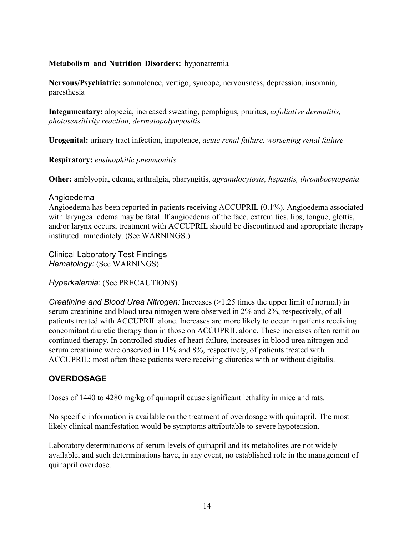#### **Metabolism and Nutrition Disorders:** hyponatremia

**Nervous/Psychiatric:** somnolence, vertigo, syncope, nervousness, depression, insomnia, paresthesia

**Integumentary:** alopecia, increased sweating, pemphigus, pruritus, *exfoliative dermatitis, photosensitivity reaction, dermatopolymyositis*

**Urogenital:** urinary tract infection, impotence, *acute renal failure, worsening renal failure*

**Respiratory:** *eosinophilic pneumonitis*

**Other:** amblyopia, edema, arthralgia, pharyngitis, *agranulocytosis, hepatitis, thrombocytopenia*

#### Angioedema

Angioedema has been reported in patients receiving ACCUPRIL (0.1%). Angioedema associated with laryngeal edema may be fatal. If angioedema of the face, extremities, lips, tongue, glottis, and/or larynx occurs, treatment with ACCUPRIL should be discontinued and appropriate therapy instituted immediately. (See WARNINGS.)

Clinical Laboratory Test Findings *Hematology:* (See WARNINGS)

*Hyperkalemia:* (See PRECAUTIONS)

*Creatinine and Blood Urea Nitrogen:* Increases (>1.25 times the upper limit of normal) in serum creatinine and blood urea nitrogen were observed in 2% and 2%, respectively, of all patients treated with ACCUPRIL alone. Increases are more likely to occur in patients receiving concomitant diuretic therapy than in those on ACCUPRIL alone. These increases often remit on continued therapy. In controlled studies of heart failure, increases in blood urea nitrogen and serum creatinine were observed in 11% and 8%, respectively, of patients treated with ACCUPRIL; most often these patients were receiving diuretics with or without digitalis.

### **OVERDOSAGE**

Doses of 1440 to 4280 mg/kg of quinapril cause significant lethality in mice and rats.

No specific information is available on the treatment of overdosage with quinapril. The most likely clinical manifestation would be symptoms attributable to severe hypotension.

Laboratory determinations of serum levels of quinapril and its metabolites are not widely available, and such determinations have, in any event, no established role in the management of quinapril overdose.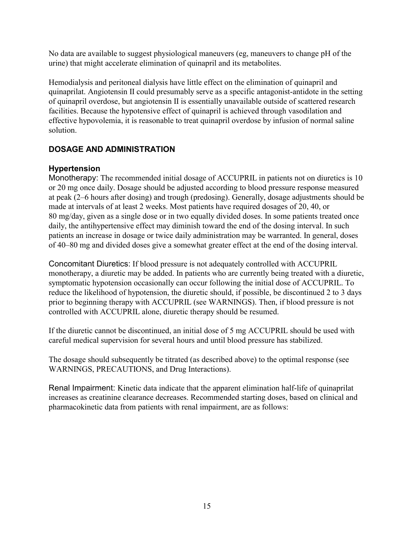No data are available to suggest physiological maneuvers (eg, maneuvers to change pH of the urine) that might accelerate elimination of quinapril and its metabolites.

Hemodialysis and peritoneal dialysis have little effect on the elimination of quinapril and quinaprilat. Angiotensin II could presumably serve as a specific antagonist-antidote in the setting of quinapril overdose, but angiotensin II is essentially unavailable outside of scattered research facilities. Because the hypotensive effect of quinapril is achieved through vasodilation and effective hypovolemia, it is reasonable to treat quinapril overdose by infusion of normal saline solution.

# **DOSAGE AND ADMINISTRATION**

## **Hypertension**

Monotherapy: The recommended initial dosage of ACCUPRIL in patients not on diuretics is 10 or 20 mg once daily. Dosage should be adjusted according to blood pressure response measured at peak (2–6 hours after dosing) and trough (predosing). Generally, dosage adjustments should be made at intervals of at least 2 weeks. Most patients have required dosages of 20, 40, or 80 mg/day, given as a single dose or in two equally divided doses. In some patients treated once daily, the antihypertensive effect may diminish toward the end of the dosing interval. In such patients an increase in dosage or twice daily administration may be warranted. In general, doses of 40–80 mg and divided doses give a somewhat greater effect at the end of the dosing interval.

Concomitant Diuretics: If blood pressure is not adequately controlled with ACCUPRIL monotherapy, a diuretic may be added. In patients who are currently being treated with a diuretic, symptomatic hypotension occasionally can occur following the initial dose of ACCUPRIL. To reduce the likelihood of hypotension, the diuretic should, if possible, be discontinued 2 to 3 days prior to beginning therapy with ACCUPRIL (see WARNINGS). Then, if blood pressure is not controlled with ACCUPRIL alone, diuretic therapy should be resumed.

If the diuretic cannot be discontinued, an initial dose of 5 mg ACCUPRIL should be used with careful medical supervision for several hours and until blood pressure has stabilized.

The dosage should subsequently be titrated (as described above) to the optimal response (see WARNINGS, PRECAUTIONS, and Drug Interactions).

Renal Impairment: Kinetic data indicate that the apparent elimination half-life of quinaprilat increases as creatinine clearance decreases. Recommended starting doses, based on clinical and pharmacokinetic data from patients with renal impairment, are as follows: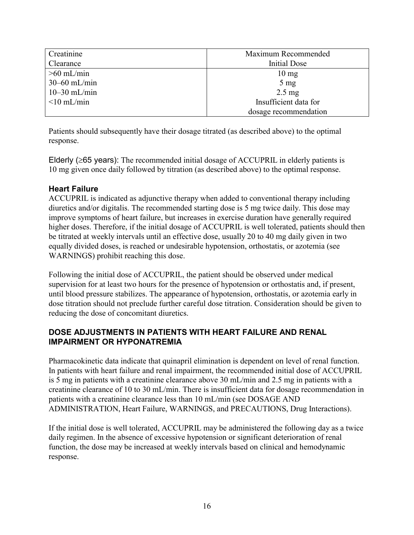| Creatinine       | Maximum Recommended   |
|------------------|-----------------------|
| Clearance        | Initial Dose          |
| $>60$ mL/min     | $10 \text{ mg}$       |
| $30-60$ mL/min   | $5 \text{ mg}$        |
| $10-30$ mL/min   | $2.5 \text{ mg}$      |
| $\leq 10$ mL/min | Insufficient data for |
|                  | dosage recommendation |

Patients should subsequently have their dosage titrated (as described above) to the optimal response.

Elderly  $(\geq 65$  years): The recommended initial dosage of ACCUPRIL in elderly patients is 10 mg given once daily followed by titration (as described above) to the optimal response.

# **Heart Failure**

ACCUPRIL is indicated as adjunctive therapy when added to conventional therapy including diuretics and/or digitalis. The recommended starting dose is 5 mg twice daily. This dose may improve symptoms of heart failure, but increases in exercise duration have generally required higher doses. Therefore, if the initial dosage of ACCUPRIL is well tolerated, patients should then be titrated at weekly intervals until an effective dose, usually 20 to 40 mg daily given in two equally divided doses, is reached or undesirable hypotension, orthostatis, or azotemia (see WARNINGS) prohibit reaching this dose.

Following the initial dose of ACCUPRIL, the patient should be observed under medical supervision for at least two hours for the presence of hypotension or orthostatis and, if present, until blood pressure stabilizes. The appearance of hypotension, orthostatis, or azotemia early in dose titration should not preclude further careful dose titration. Consideration should be given to reducing the dose of concomitant diuretics.

# **DOSE ADJUSTMENTS IN PATIENTS WITH HEART FAILURE AND RENAL IMPAIRMENT OR HYPONATREMIA**

Pharmacokinetic data indicate that quinapril elimination is dependent on level of renal function. In patients with heart failure and renal impairment, the recommended initial dose of ACCUPRIL is 5 mg in patients with a creatinine clearance above 30 mL/min and 2.5 mg in patients with a creatinine clearance of 10 to 30 mL/min. There is insufficient data for dosage recommendation in patients with a creatinine clearance less than 10 mL/min (see DOSAGE AND ADMINISTRATION, Heart Failure, WARNINGS, and PRECAUTIONS, Drug Interactions).

If the initial dose is well tolerated, ACCUPRIL may be administered the following day as a twice daily regimen. In the absence of excessive hypotension or significant deterioration of renal function, the dose may be increased at weekly intervals based on clinical and hemodynamic response.